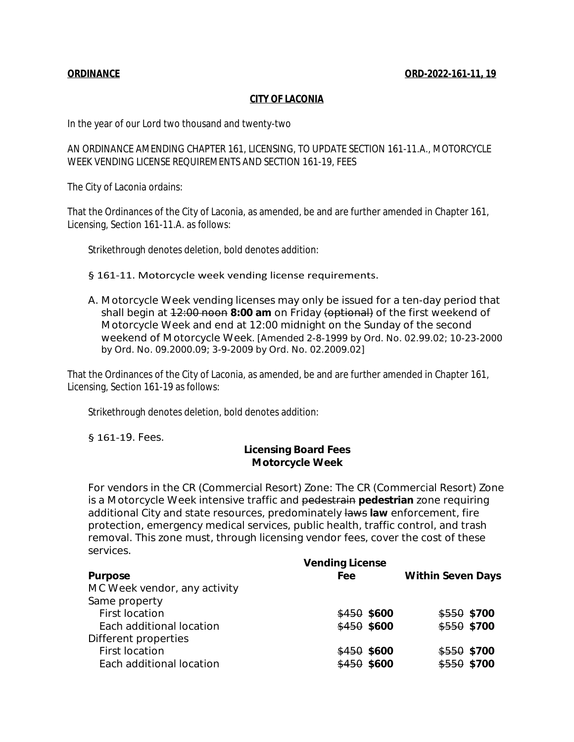## **CITY OF LACONIA**

In the year of our Lord two thousand and twenty-two

AN ORDINANCE AMENDING CHAPTER 161, LICENSING, TO UPDATE SECTION 161-11.A., MOTORCYCLE WEEK VENDING LICENSE REQUIREMENTS AND SECTION 161-19, FEES

The City of Laconia ordains:

That the Ordinances of the City of Laconia, as amended, be and are further amended in Chapter 161, Licensing, Section 161-11.A. as follows:

Strikethrough denotes deletion, bold denotes addition:

## § 161-11. Motorcycle week vending license requirements.

A. Motorcycle Week vending licenses may only be issued for a ten-day period that shall begin at 12:00 noon **8:00 am** on Friday (optional) of the first weekend of Motorcycle Week and end at 12:00 midnight on the Sunday of the second weekend of Motorcycle Week. *[Amended 2-8-1999 by Ord. No. 02.99.02; 10-23-2000 by Ord. No. 09.2000.09; 3-9-2009 by Ord. No. 02.2009.02]*

That the Ordinances of the City of Laconia, as amended, be and are further amended in Chapter 161, Licensing, Section 161-19 as follows:

Strikethrough denotes deletion, bold denotes addition:

§ 161-19. Fees.

## **Licensing Board Fees Motorcycle Week**

For vendors in the CR (Commercial Resort) Zone: The CR (Commercial Resort) Zone is a Motorcycle Week intensive traffic and pedestrain **pedestrian** zone requiring additional City and state resources, predominately laws **law** enforcement, fire protection, emergency medical services, public health, traffic control, and trash removal. This zone must, through licensing vendor fees, cover the cost of these services.

|                              | <b>Vending License</b> |                          |
|------------------------------|------------------------|--------------------------|
| <b>Purpose</b>               | Fee                    | <b>Within Seven Days</b> |
| MC Week vendor, any activity |                        |                          |
| Same property                |                        |                          |
| <b>First location</b>        | $$450$ \$600           | $$550$ \$700             |
| Each additional location     | \$450\$3600            | \$550 \$700              |
| Different properties         |                        |                          |
| <b>First location</b>        | $$450$ \$600           | $$550$ \$700             |
| Each additional location     | \$450\$5600            | $$550$ \$700             |